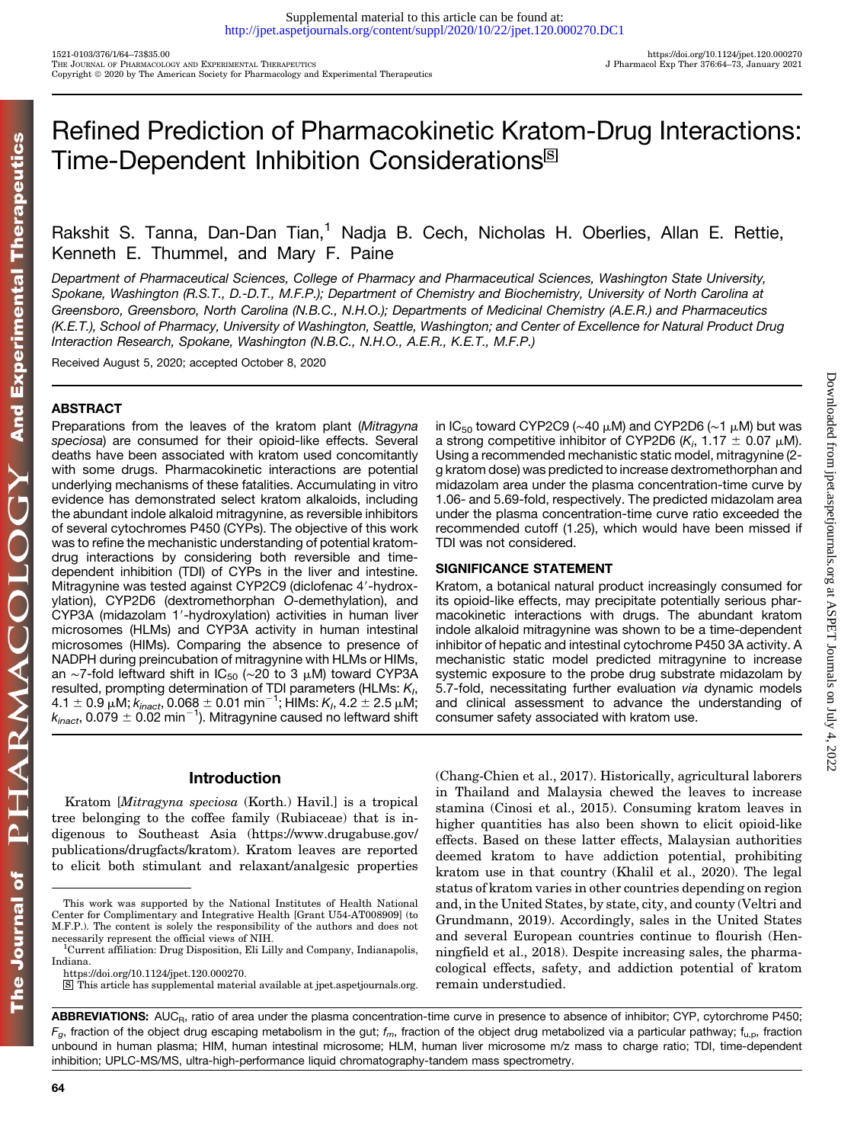# Refined Prediction of Pharmacokinetic Kratom-Drug Interactions: Time-Dependent Inhibition Considerations<sup>®</sup>

Rakshit S. Tanna, Dan-Dan Tian,<sup>1</sup> Nadja B. Cech, Nicholas H. Oberlies, Allan E. Rettie, Kenneth E. Thummel, and Mary F. Paine

Department of Pharmaceutical Sciences, College of Pharmacy and Pharmaceutical Sciences, Washington State University, Spokane, Washington (R.S.T., D.-D.T., M.F.P.); Department of Chemistry and Biochemistry, University of North Carolina at Greensboro, Greensboro, North Carolina (N.B.C., N.H.O.); Departments of Medicinal Chemistry (A.E.R.) and Pharmaceutics (K.E.T.), School of Pharmacy, University of Washington, Seattle, Washington; and Center of Excellence for Natural Product Drug Interaction Research, Spokane, Washington (N.B.C., N.H.O., A.E.R., K.E.T., M.F.P.)

Received August 5, 2020; accepted October 8, 2020

# **ABSTRACT**

Preparations from the leaves of the kratom plant (Mitragyna speciosa) are consumed for their opioid-like effects. Several deaths have been associated with kratom used concomitantly with some drugs. Pharmacokinetic interactions are potential underlying mechanisms of these fatalities. Accumulating in vitro evidence has demonstrated select kratom alkaloids, including the abundant indole alkaloid mitragynine, as reversible inhibitors of several cytochromes P450 (CYPs). The objective of this work was to refine the mechanistic understanding of potential kratomdrug interactions by considering both reversible and timedependent inhibition (TDI) of CYPs in the liver and intestine. Mitragynine was tested against CYP2C9 (diclofenac 4'-hydroxylation), CYP2D6 (dextromethorphan O-demethylation), and CYP3A (midazolam 1'-hydroxylation) activities in human liver microsomes (HLMs) and CYP3A activity in human intestinal microsomes (HIMs). Comparing the absence to presence of NADPH during preincubation of mitragynine with HLMs or HIMs, an ∼7-fold leftward shift in IC<sub>50</sub> (~20 to 3  $\mu$ M) toward CYP3A resulted, prompting determination of TDI parameters (HLMs:  $K<sub>1</sub>$ ,  $4.1\pm 0.9$   $\mu$ M;  $k_{inact}$ , 0.068  $\pm$  0.01 min $^{-1}$ ; HIMs:  $K_h$ , 4.2  $\pm$  2.5  $\mu$ M;  $k_{inact}$ , 0.079  $\pm$  0.02 min<sup>-1</sup>). Mitragynine caused no leftward shift

in IC<sub>50</sub> toward CYP2C9 (~40 µM) and CYP2D6 (~1 µM) but was a strong competitive inhibitor of CYP2D6 (K<sub>i</sub>, 1.17  $\pm$  0.07  $\mu$ M). Using a recommended mechanistic static model, mitragynine (2 g kratom dose) was predicted to increase dextromethorphan and midazolam area under the plasma concentration-time curve by 1.06- and 5.69-fold, respectively. The predicted midazolam area under the plasma concentration-time curve ratio exceeded the recommended cutoff (1.25), which would have been missed if TDI was not considered.

Downloaded from [jpet.aspetjournals.org](http://jpet.aspetjournals.org/) at ASPET Journals on July 4, 2022

Downloaded from jpet.aspetjournals.org at ASPET Journals on July 4, 2022

## SIGNIFICANCE STATEMENT

Kratom, a botanical natural product increasingly consumed for its opioid-like effects, may precipitate potentially serious pharmacokinetic interactions with drugs. The abundant kratom indole alkaloid mitragynine was shown to be a time-dependent inhibitor of hepatic and intestinal cytochrome P450 3A activity. A mechanistic static model predicted mitragynine to increase systemic exposure to the probe drug substrate midazolam by 5.7-fold, necessitating further evaluation via dynamic models and clinical assessment to advance the understanding of consumer safety associated with kratom use.

# Introduction

Kratom [Mitragyna speciosa (Korth.) Havil.] is a tropical tree belonging to the coffee family (Rubiaceae) that is indigenous to Southeast Asia ([https://www.drugabuse.gov/](https://www.drugabuse.gov/publications/drugfacts/kratom) [publications/drugfacts/kratom](https://www.drugabuse.gov/publications/drugfacts/kratom)). Kratom leaves are reported to elicit both stimulant and relaxant/analgesic properties (Chang-Chien et al., 2017). Historically, agricultural laborers in Thailand and Malaysia chewed the leaves to increase stamina (Cinosi et al., 2015). Consuming kratom leaves in higher quantities has also been shown to elicit opioid-like effects. Based on these latter effects, Malaysian authorities deemed kratom to have addiction potential, prohibiting kratom use in that country (Khalil et al., 2020). The legal status of kratom varies in other countries depending on region and, in the United States, by state, city, and county (Veltri and Grundmann, 2019). Accordingly, sales in the United States and several European countries continue to flourish (Henningfield et al., 2018). Despite increasing sales, the pharmacological effects, safety, and addiction potential of kratom remain understudied.

ABBREVIATIONS: AUC<sub>R</sub>, ratio of area under the plasma concentration-time curve in presence to absence of inhibitor; CYP, cytorchrome P450;  $F_q$ , fraction of the object drug escaping metabolism in the gut;  $f_m$ , fraction of the object drug metabolized via a particular pathway;  $t_{u,p}$ , fraction unbound in human plasma; HIM, human intestinal microsome; HLM, human liver microsome m/z mass to charge ratio; TDI, time-dependent inhibition; UPLC-MS/MS, ultra-high-performance liquid chromatography-tandem mass spectrometry.

This work was supported by the National Institutes of Health National Center for Complimentary and Integrative Health [Grant U54-AT008909] (to M.F.P.). The content is solely the responsibility of the authors and does not necessarily represent the official views of NIH.

Current affiliation: Drug Disposition, Eli Lilly and Company, Indianapolis, Indiana.

<https://doi.org/10.1124/jpet.120.000270>.

S This article has supplemental material available at [jpet.aspetjournals.org.](http://jpet.aspetjournals.org)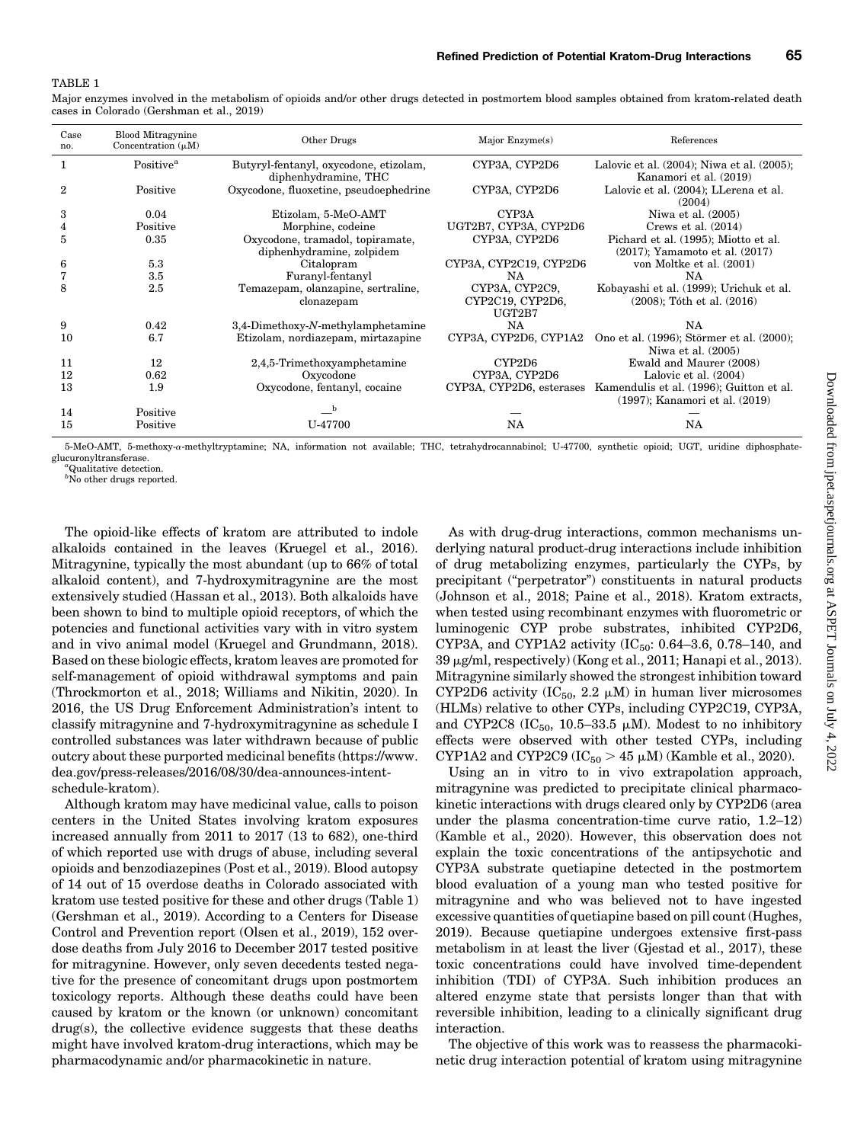#### TABLE 1

Major enzymes involved in the metabolism of opioids and/or other drugs detected in postmortem blood samples obtained from kratom-related death cases in Colorado (Gershman et al., 2019)

| Case<br>no.    | <b>Blood Mitragynine</b><br>Concentration $(\mu M)$ | Other Drugs                                                    | Major Enzyme(s)          | References                                                                 |
|----------------|-----------------------------------------------------|----------------------------------------------------------------|--------------------------|----------------------------------------------------------------------------|
|                | Positive <sup>a</sup>                               | Butyryl-fentanyl, oxycodone, etizolam,<br>diphenhydramine, THC | CYP3A, CYP2D6            | Lalovic et al. (2004); Niwa et al. (2005);<br>Kanamori et al. (2019)       |
| $\overline{2}$ | Positive                                            | Oxycodone, fluoxetine, pseudoephedrine                         | CYP3A, CYP2D6            | Lalovic et al. (2004); LLerena et al.<br>(2004)                            |
| 3              | 0.04                                                | Etizolam, 5-MeO-AMT                                            | CYP <sub>3</sub> A       | Niwa et al. $(2005)$                                                       |
| 4              | Positive                                            | Morphine, codeine                                              | UGT2B7, CYP3A, CYP2D6    | Crews et al. $(2014)$                                                      |
| 5              | 0.35                                                | Oxycodone, tramadol, topiramate,                               | CYP3A, CYP2D6            | Pichard et al. (1995); Miotto et al.                                       |
|                |                                                     | diphenhydramine, zolpidem                                      |                          | (2017); Yamamoto et al. (2017)                                             |
| 6              | 5.3                                                 | Citalopram                                                     | CYP3A, CYP2C19, CYP2D6   | von Moltke et al. (2001)                                                   |
| 7              | $3.5\,$                                             | Furanyl-fentanyl                                               | NA                       | NA                                                                         |
| 8              | 2.5                                                 | Temazepam, olanzapine, sertraline,                             | CYP3A, CYP2C9,           | Kobayashi et al. (1999); Urichuk et al.                                    |
|                |                                                     | clonazepam                                                     | CYP2C19, CYP2D6,         | $(2008)$ ; Tóth et al. $(2016)$                                            |
|                |                                                     |                                                                | UGT2B7                   |                                                                            |
| 9              | 0.42                                                | $3,4$ -Dimethoxy-N-methylamphetamine                           | NA                       | NA                                                                         |
| 10             | 6.7                                                 | Etizolam, nordiazepam, mirtazapine                             | CYP3A, CYP2D6, CYP1A2    | Ono et al. (1996); Störmer et al. (2000);<br>Niwa et al. (2005)            |
| 11             | 12                                                  | 2,4,5-Trimethoxyamphetamine                                    | CYP2D6                   | Ewald and Maurer (2008)                                                    |
| 12             | 0.62                                                | Oxycodone                                                      | CYP3A, CYP2D6            | Lalovic et al. (2004)                                                      |
| 13             | 1.9                                                 | Oxycodone, fentanyl, cocaine                                   | CYP3A, CYP2D6, esterases | Kamendulis et al. (1996); Guitton et al.<br>(1997); Kanamori et al. (2019) |
| 14             | Positive                                            |                                                                |                          |                                                                            |
| 15             | Positive                                            | U-47700                                                        | <b>NA</b>                | NA                                                                         |

5-MeO-AMT, 5-methoxy-a-methyltryptamine; NA, information not available; THC, tetrahydrocannabinol; U-47700, synthetic opioid; UGT, uridine diphosphateglucuronyltransferase. Qualitative detection.

 ${}^b$ No other drugs reported.

The opioid-like effects of kratom are attributed to indole alkaloids contained in the leaves (Kruegel et al., 2016). Mitragynine, typically the most abundant (up to 66% of total alkaloid content), and 7-hydroxymitragynine are the most extensively studied (Hassan et al., 2013). Both alkaloids have been shown to bind to multiple opioid receptors, of which the potencies and functional activities vary with in vitro system and in vivo animal model (Kruegel and Grundmann, 2018). Based on these biologic effects, kratom leaves are promoted for self-management of opioid withdrawal symptoms and pain (Throckmorton et al., 2018; Williams and Nikitin, 2020). In 2016, the US Drug Enforcement Administration's intent to classify mitragynine and 7-hydroxymitragynine as schedule I controlled substances was later withdrawn because of public outcry about these purported medicinal benefits ([https://www.](https://www.dea.gov/press-releases/2016/08/30/dea-announces-intent-schedule-kratom) [dea.gov/press-releases/2016/08/30/dea-announces-intent](https://www.dea.gov/press-releases/2016/08/30/dea-announces-intent-schedule-kratom)[schedule-kratom](https://www.dea.gov/press-releases/2016/08/30/dea-announces-intent-schedule-kratom)).

Although kratom may have medicinal value, calls to poison centers in the United States involving kratom exposures increased annually from 2011 to 2017 (13 to 682), one-third of which reported use with drugs of abuse, including several opioids and benzodiazepines (Post et al., 2019). Blood autopsy of 14 out of 15 overdose deaths in Colorado associated with kratom use tested positive for these and other drugs (Table 1) (Gershman et al., 2019). According to a Centers for Disease Control and Prevention report (Olsen et al., 2019), 152 overdose deaths from July 2016 to December 2017 tested positive for mitragynine. However, only seven decedents tested negative for the presence of concomitant drugs upon postmortem toxicology reports. Although these deaths could have been caused by kratom or the known (or unknown) concomitant drug(s), the collective evidence suggests that these deaths might have involved kratom-drug interactions, which may be pharmacodynamic and/or pharmacokinetic in nature.

As with drug-drug interactions, common mechanisms underlying natural product-drug interactions include inhibition of drug metabolizing enzymes, particularly the CYPs, by precipitant ("perpetrator") constituents in natural products (Johnson et al., 2018; Paine et al., 2018). Kratom extracts, when tested using recombinant enzymes with fluorometric or luminogenic CYP probe substrates, inhibited CYP2D6, CYP3A, and CYP1A2 activity  $(IC_{50}: 0.64-3.6, 0.78-140,$  and 39 µg/ml, respectively) (Kong et al., 2011; Hanapi et al., 2013). Mitragynine similarly showed the strongest inhibition toward CYP2D6 activity  $(IC_{50}, 2.2 \mu M)$  in human liver microsomes (HLMs) relative to other CYPs, including CYP2C19, CYP3A, and CYP2C8 (IC<sub>50</sub>, 10.5–33.5  $\mu$ M). Modest to no inhibitory effects were observed with other tested CYPs, including CYP1A2 and CYP2C9 (IC $_{50}$  > 45  $\mu$ M) (Kamble et al., 2020).

Using an in vitro to in vivo extrapolation approach, mitragynine was predicted to precipitate clinical pharmacokinetic interactions with drugs cleared only by CYP2D6 (area under the plasma concentration-time curve ratio, 1.2–12) (Kamble et al., 2020). However, this observation does not explain the toxic concentrations of the antipsychotic and CYP3A substrate quetiapine detected in the postmortem blood evaluation of a young man who tested positive for mitragynine and who was believed not to have ingested excessive quantities of quetiapine based on pill count (Hughes, 2019). Because quetiapine undergoes extensive first-pass metabolism in at least the liver (Gjestad et al., 2017), these toxic concentrations could have involved time-dependent inhibition (TDI) of CYP3A. Such inhibition produces an altered enzyme state that persists longer than that with reversible inhibition, leading to a clinically significant drug interaction.

The objective of this work was to reassess the pharmacokinetic drug interaction potential of kratom using mitragynine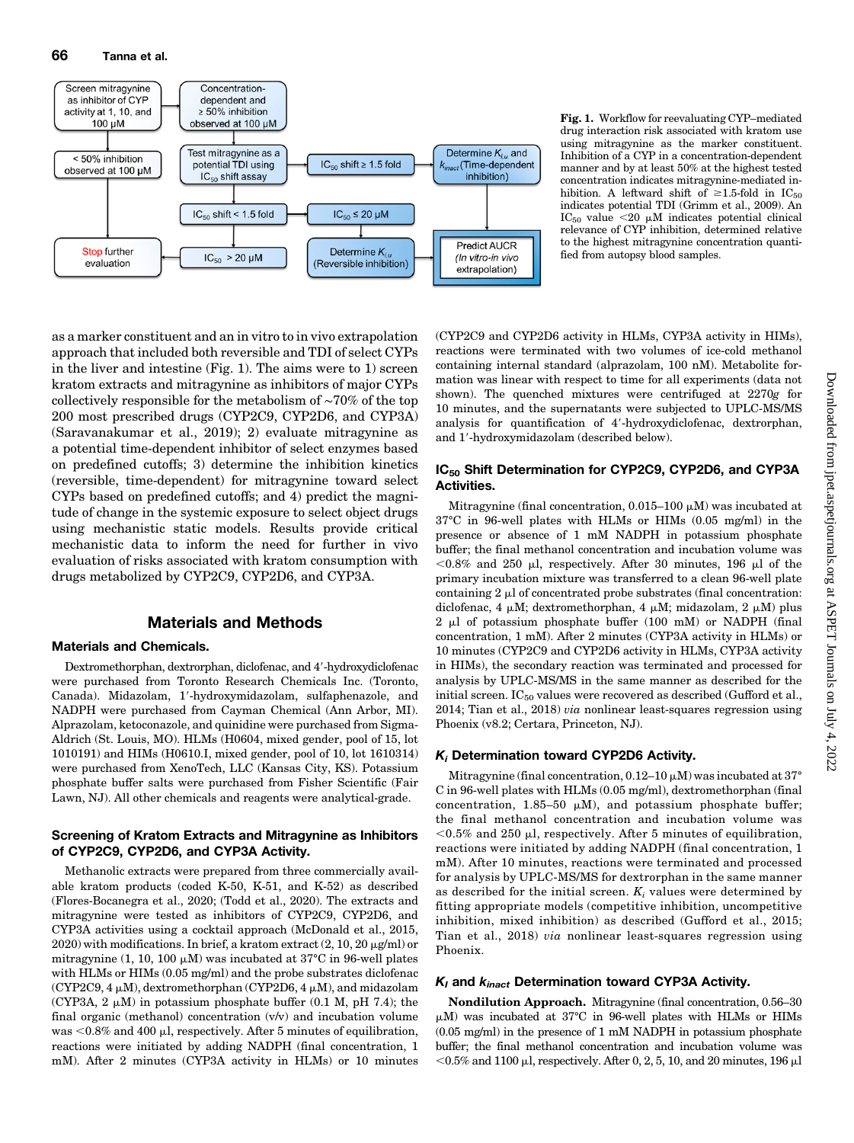

Fig. 1. Workflow for reevaluating CYP–mediated drug interaction risk associated with kratom use using mitragynine as the marker constituent. Inhibition of a CYP in a concentration-dependent manner and by at least 50% at the highest tested concentration indicates mitragynine-mediated inhibition. A leftward shift of  $\geq 1.5$ -fold in IC<sub>50</sub> indicates potential TDI (Grimm et al., 2009). An  $IC_{50}$  value <20  $\mu$ M indicates potential clinical relevance of CYP inhibition, determined relative to the highest mitragynine concentration quantified from autopsy blood samples.

as a marker constituent and an in vitro to in vivo extrapolation approach that included both reversible and TDI of select CYPs in the liver and intestine (Fig. 1). The aims were to 1) screen kratom extracts and mitragynine as inhibitors of major CYPs collectively responsible for the metabolism of ∼70% of the top 200 most prescribed drugs (CYP2C9, CYP2D6, and CYP3A) (Saravanakumar et al., 2019); 2) evaluate mitragynine as a potential time-dependent inhibitor of select enzymes based on predefined cutoffs; 3) determine the inhibition kinetics (reversible, time-dependent) for mitragynine toward select CYPs based on predefined cutoffs; and 4) predict the magnitude of change in the systemic exposure to select object drugs using mechanistic static models. Results provide critical mechanistic data to inform the need for further in vivo evaluation of risks associated with kratom consumption with drugs metabolized by CYP2C9, CYP2D6, and CYP3A.

# Materials and Methods

## Materials and Chemicals.

Dextromethorphan, dextrorphan, diclofenac, and 4'-hydroxydiclofenac were purchased from Toronto Research Chemicals Inc. (Toronto, Canada). Midazolam, 1'-hydroxymidazolam, sulfaphenazole, and NADPH were purchased from Cayman Chemical (Ann Arbor, MI). Alprazolam, ketoconazole, and quinidine were purchased from Sigma-Aldrich (St. Louis, MO). HLMs (H0604, mixed gender, pool of 15, lot 1010191) and HIMs (H0610.I, mixed gender, pool of 10, lot 1610314) were purchased from XenoTech, LLC (Kansas City, KS). Potassium phosphate buffer salts were purchased from Fisher Scientific (Fair Lawn, NJ). All other chemicals and reagents were analytical-grade.

## Screening of Kratom Extracts and Mitragynine as Inhibitors of CYP2C9, CYP2D6, and CYP3A Activity.

Methanolic extracts were prepared from three commercially available kratom products (coded K-50, K-51, and K-52) as described (Flores-Bocanegra et al., 2020; (Todd et al., 2020). The extracts and mitragynine were tested as inhibitors of CYP2C9, CYP2D6, and CYP3A activities using a cocktail approach (McDonald et al., 2015, 2020) with modifications. In brief, a kratom extract  $(2, 10, 20 \,\mu\text{g/ml})$  or mitragynine (1, 10, 100  $\mu$ M) was incubated at 37°C in 96-well plates with HLMs or HIMs (0.05 mg/ml) and the probe substrates diclofenac (CYP2C9,  $4 \mu$ M), dextromethorphan (CYP2D6,  $4 \mu$ M), and midazolam (CYP3A,  $2 \mu M$ ) in potassium phosphate buffer (0.1 M, pH 7.4); the final organic (methanol) concentration (v/v) and incubation volume was  $< 0.8\%$  and 400  $\mu$ l, respectively. After 5 minutes of equilibration, reactions were initiated by adding NADPH (final concentration, 1 mM). After 2 minutes (CYP3A activity in HLMs) or 10 minutes

(CYP2C9 and CYP2D6 activity in HLMs, CYP3A activity in HIMs), reactions were terminated with two volumes of ice-cold methanol containing internal standard (alprazolam, 100 nM). Metabolite formation was linear with respect to time for all experiments (data not shown). The quenched mixtures were centrifuged at 2270g for 10 minutes, and the supernatants were subjected to UPLC-MS/MS analysis for quantification of 4'-hydroxydiclofenac, dextrorphan, and 1'-hydroxymidazolam (described below).

## IC<sub>50</sub> Shift Determination for CYP2C9, CYP2D6, and CYP3A Activities.

Mitragynine (final concentration,  $0.015-100 \mu M$ ) was incubated at 37°C in 96-well plates with HLMs or HIMs (0.05 mg/ml) in the presence or absence of 1 mM NADPH in potassium phosphate buffer; the final methanol concentration and incubation volume was  $< 0.8\%$  and 250 µl, respectively. After 30 minutes, 196 µl of the primary incubation mixture was transferred to a clean 96-well plate containing  $2 \mu$  of concentrated probe substrates (final concentration: diclofenac, 4  $\mu$ M; dextromethorphan, 4  $\mu$ M; midazolam, 2  $\mu$ M) plus  $2 \mu l$  of potassium phosphate buffer (100 mM) or NADPH (final concentration, 1 mM). After 2 minutes (CYP3A activity in HLMs) or 10 minutes (CYP2C9 and CYP2D6 activity in HLMs, CYP3A activity in HIMs), the secondary reaction was terminated and processed for analysis by UPLC-MS/MS in the same manner as described for the initial screen.  $IC_{50}$  values were recovered as described (Gufford et al., 2014; Tian et al., 2018) via nonlinear least-squares regression using Phoenix (v8.2; Certara, Princeton, NJ).

## Ki Determination toward CYP2D6 Activity.

Mitragynine (final concentration,  $0.12-10 \mu M$ ) was incubated at 37° C in 96-well plates with HLMs (0.05 mg/ml), dextromethorphan (final concentration, 1.85-50  $\mu$ M), and potassium phosphate buffer; the final methanol concentration and incubation volume was  $<$ 0.5% and 250 µl, respectively. After 5 minutes of equilibration, reactions were initiated by adding NADPH (final concentration, 1 mM). After 10 minutes, reactions were terminated and processed for analysis by UPLC-MS/MS for dextrorphan in the same manner as described for the initial screen.  $K_i$  values were determined by fitting appropriate models (competitive inhibition, uncompetitive inhibition, mixed inhibition) as described (Gufford et al., 2015; Tian et al., 2018) via nonlinear least-squares regression using Phoenix.

## $K_I$  and  $K_{inact}$  Determination toward CYP3A Activity.

Nondilution Approach. Mitragynine (final concentration, 0.56–30  $\mu$ M) was incubated at 37°C in 96-well plates with HLMs or HIMs (0.05 mg/ml) in the presence of 1 mM NADPH in potassium phosphate buffer; the final methanol concentration and incubation volume was  $<$ 0.5% and 1100 µl, respectively. After 0, 2, 5, 10, and 20 minutes, 196 µl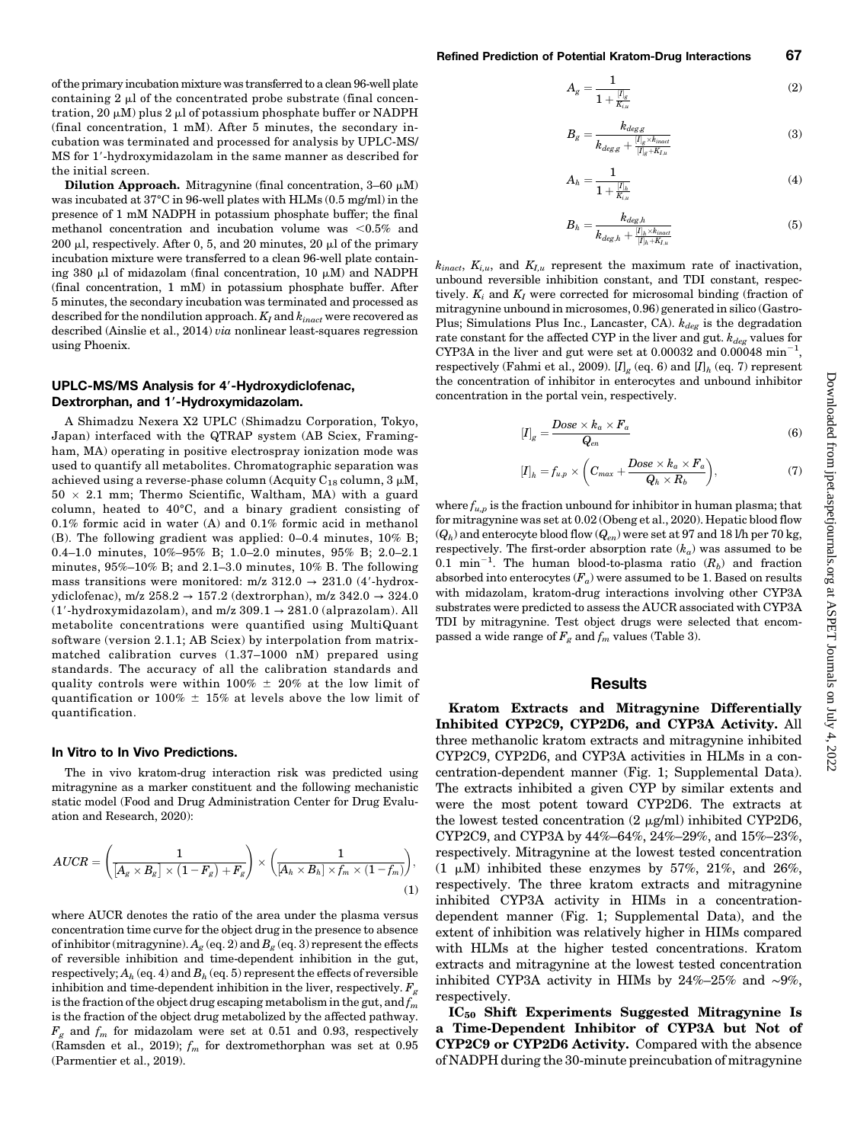of the primary incubation mixture was transferred to a clean 96-well plate containing  $2 \mu$  of the concentrated probe substrate (final concentration, 20  $\mu$ M) plus 2  $\mu$ l of potassium phosphate buffer or NADPH (final concentration, 1 mM). After 5 minutes, the secondary incubation was terminated and processed for analysis by UPLC-MS/ MS for 1'-hydroxymidazolam in the same manner as described for the initial screen.

Dilution Approach. Mitragynine (final concentration,  $3-60 \mu M$ ) was incubated at 37°C in 96-well plates with HLMs (0.5 mg/ml) in the presence of 1 mM NADPH in potassium phosphate buffer; the final methanol concentration and incubation volume was  $\leq 0.5\%$  and 200  $\mu$ l, respectively. After 0, 5, and 20 minutes, 20  $\mu$ l of the primary incubation mixture were transferred to a clean 96-well plate containing 380  $\mu$ l of midazolam (final concentration, 10  $\mu$ M) and NADPH (final concentration, 1 mM) in potassium phosphate buffer. After 5 minutes, the secondary incubation was terminated and processed as described for the nondilution approach.  $K_I$  and  $k_{inact}$  were recovered as described (Ainslie et al., 2014) via nonlinear least-squares regression using Phoenix.

#### UPLC-MS/MS Analysis for 4'-Hydroxydiclofenac, Dextrorphan, and 1'-Hydroxymidazolam.

A Shimadzu Nexera X2 UPLC (Shimadzu Corporation, Tokyo, Japan) interfaced with the QTRAP system (AB Sciex, Framingham, MA) operating in positive electrospray ionization mode was used to quantify all metabolites. Chromatographic separation was achieved using a reverse-phase column (Acquity  $C_{18}$  column, 3  $\mu$ M,  $50 \times 2.1$  mm; Thermo Scientific, Waltham, MA) with a guard column, heated to 40°C, and a binary gradient consisting of 0.1% formic acid in water (A) and 0.1% formic acid in methanol (B). The following gradient was applied: 0–0.4 minutes, 10% B; 0.4–1.0 minutes, 10%–95% B; 1.0–2.0 minutes, 95% B; 2.0–2.1 minutes, 95%–10% B; and 2.1–3.0 minutes, 10% B. The following mass transitions were monitored:  $m/z$  312.0  $\rightarrow$  231.0 (4'-hydroxydiclofenac), m/z  $258.2 \rightarrow 157.2$  (dextrorphan), m/z  $342.0 \rightarrow 324.0$ (1'-hydroxymidazolam), and m/z  $309.1 \rightarrow 281.0$  (alprazolam). All metabolite concentrations were quantified using MultiQuant software (version 2.1.1; AB Sciex) by interpolation from matrixmatched calibration curves (1.37–1000 nM) prepared using standards. The accuracy of all the calibration standards and quality controls were within 100%  $\pm$  20% at the low limit of quantification or 100%  $\pm$  15% at levels above the low limit of quantification.

#### In Vitro to In Vivo Predictions.

The in vivo kratom-drug interaction risk was predicted using mitragynine as a marker constituent and the following mechanistic static model (Food and Drug Administration Center for Drug Evaluation and Research, 2020):

$$
AUCR = \left(\frac{1}{\left[A_g \times B_g\right] \times \left(1 - F_g\right) + F_g}\right) \times \left(\frac{1}{\left[A_h \times B_h\right] \times f_m \times \left(1 - f_m\right)}\right),\tag{1}
$$

where AUCR denotes the ratio of the area under the plasma versus concentration time curve for the object drug in the presence to absence of inhibitor (mitragynine).  $A_g$  (eq. 2) and  $B_g$  (eq. 3) represent the effects of reversible inhibition and time-dependent inhibition in the gut, respectively;  $A_h$  (eq. 4) and  $B_h$  (eq. 5) represent the effects of reversible inhibition and time-dependent inhibition in the liver, respectively.  $F_g$ is the fraction of the object drug escaping metabolism in the gut, and  $f_m$ is the fraction of the object drug metabolized by the affected pathway.  $F<sub>g</sub>$  and  $f<sub>m</sub>$  for midazolam were set at 0.51 and 0.93, respectively (Ramsden et al., 2019);  $f_m$  for dextromethorphan was set at 0.95 (Parmentier et al., 2019).

$$
A_g = \frac{1}{1 + \frac{|I|_g}{K_{i,u}}} \tag{2}
$$

$$
B_g = \frac{k_{deg}}{k_{deg,g} + \frac{|I|_g \times k_{inact}}{|I|_g + K_{I,u}}}
$$
(3)

$$
A_h=\frac{1}{1+\frac{|I|_h}{K_{i,u}}} \hspace{1.5cm} (4)
$$

$$
B_h = \frac{k_{deg,h}}{k_{deg,h} + \frac{|I|_h \times k_{inact}}{|I|_h + K_{I,u}}}
$$
(5)

 $k_{inact}$ ,  $K_{i,u}$ , and  $K_{i,u}$  represent the maximum rate of inactivation, unbound reversible inhibition constant, and TDI constant, respectively.  $K_i$  and  $K_I$  were corrected for microsomal binding (fraction of mitragynine unbound in microsomes, 0.96) generated in silico (Gastro-Plus; Simulations Plus Inc., Lancaster, CA).  $k_{deg}$  is the degradation rate constant for the affected CYP in the liver and gut.  $k_{deg}$  values for CYP3A in the liver and gut were set at 0.00032 and 0.00048  $\text{min}^{-1}$ , respectively (Fahmi et al., 2009). [ $I_{\mathcal{G}}$  (eq. 6) and [ $I_{h}$  (eq. 7) represent the concentration of inhibitor in enterocytes and unbound inhibitor concentration in the portal vein, respectively.

$$
[I]_g = \frac{Dose \times k_a \times F_a}{Q_{en}} \tag{6}
$$

$$
[I]_h = f_{u,p} \times \left( C_{max} + \frac{Dose \times k_a \times F_a}{Q_h \times R_b} \right), \tag{7}
$$

where  $f_{u,p}$  is the fraction unbound for inhibitor in human plasma; that for mitragynine was set at 0.02 (Obeng et al., 2020). Hepatic blood flow  $(Q_h)$  and enterocyte blood flow  $(Q_{en})$  were set at 97 and 18 l/h per 70 kg, respectively. The first-order absorption rate  $(k_a)$  was assumed to be 0.1 min<sup>-1</sup>. The human blood-to-plasma ratio  $(R_b)$  and fraction absorbed into enterocytes  $(F_a)$  were assumed to be 1. Based on results with midazolam, kratom-drug interactions involving other CYP3A substrates were predicted to assess the AUCR associated with CYP3A TDI by mitragynine. Test object drugs were selected that encompassed a wide range of  $F_g$  and  $f_m$  values (Table 3).

#### **Results**

Kratom Extracts and Mitragynine Differentially Inhibited CYP2C9, CYP2D6, and CYP3A Activity. All three methanolic kratom extracts and mitragynine inhibited CYP2C9, CYP2D6, and CYP3A activities in HLMs in a concentration-dependent manner (Fig. 1; [Supplemental Data](http://jpet.aspetjournals.org/lookup/suppl/doi:10.1124/jpet.120.000270/-/DC1)). The extracts inhibited a given CYP by similar extents and were the most potent toward CYP2D6. The extracts at the lowest tested concentration  $(2 \mu g/ml)$  inhibited CYP2D6, CYP2C9, and CYP3A by 44%–64%, 24%–29%, and 15%–23%, respectively. Mitragynine at the lowest tested concentration  $(1 \mu M)$  inhibited these enzymes by 57%, 21%, and 26%, respectively. The three kratom extracts and mitragynine inhibited CYP3A activity in HIMs in a concentrationdependent manner (Fig. 1; [Supplemental Data\)](http://jpet.aspetjournals.org/lookup/suppl/doi:10.1124/jpet.120.000270/-/DC1), and the extent of inhibition was relatively higher in HIMs compared with HLMs at the higher tested concentrations. Kratom extracts and mitragynine at the lowest tested concentration inhibited CYP3A activity in HIMs by 24%–25% and ∼9%, respectively.

IC<sub>50</sub> Shift Experiments Suggested Mitragynine Is a Time-Dependent Inhibitor of CYP3A but Not of CYP2C9 or CYP2D6 Activity. Compared with the absence of NADPH during the 30-minute preincubation of mitragynine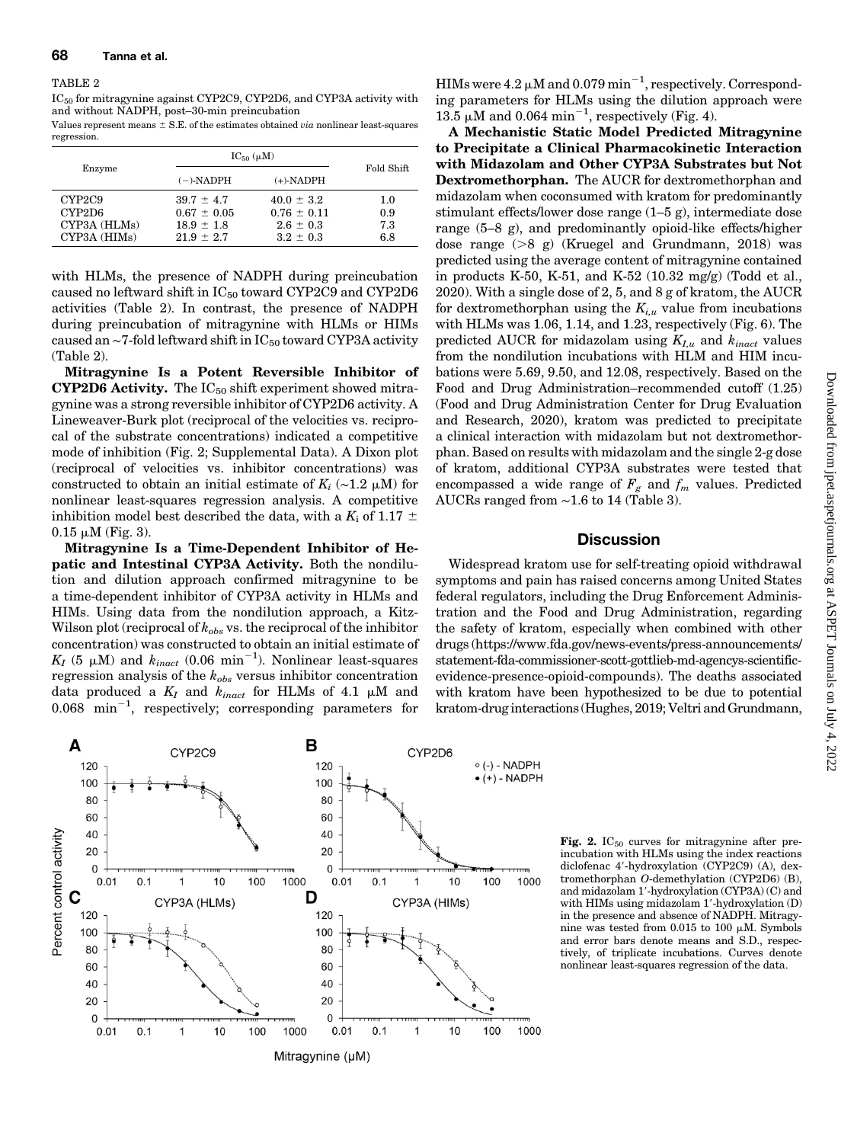#### TABLE 2

IC<sub>50</sub> for mitragynine against CYP2C9, CYP2D6, and CYP3A activity with and without NADPH, post–30-min preincubation

Values represent means  $\pm$  S.E. of the estimates obtained via nonlinear least-squares regression.

|                                                                           | $IC_{50}(\mu M)$                                                      |                                                                     |                          |  |
|---------------------------------------------------------------------------|-----------------------------------------------------------------------|---------------------------------------------------------------------|--------------------------|--|
| Enzyme                                                                    | $(-)$ -NADPH                                                          | $(+)$ -NADPH                                                        | Fold Shift               |  |
| CYP <sub>2</sub> C <sub>9</sub><br>CYP2D6<br>CYP3A (HLMs)<br>CYP3A (HIMs) | $39.7 \pm 4.7$<br>$0.67 \pm 0.05$<br>$18.9 \pm 1.8$<br>$21.9 \pm 2.7$ | $40.0 \pm 3.2$<br>$0.76 \pm 0.11$<br>$2.6 \pm 0.3$<br>$3.2 \pm 0.3$ | 1.0<br>0.9<br>7.3<br>6.8 |  |

with HLMs, the presence of NADPH during preincubation caused no leftward shift in  $IC_{50}$  toward CYP2C9 and CYP2D6 activities (Table 2). In contrast, the presence of NADPH during preincubation of mitragynine with HLMs or HIMs caused an ∼7-fold leftward shift in IC<sub>50</sub> toward CYP3A activity (Table 2).

Mitragynine Is a Potent Reversible Inhibitor of **CYP2D6 Activity.** The  $IC_{50}$  shift experiment showed mitragynine was a strong reversible inhibitor of CYP2D6 activity. A Lineweaver-Burk plot (reciprocal of the velocities vs. reciprocal of the substrate concentrations) indicated a competitive mode of inhibition (Fig. 2; [Supplemental Data](http://jpet.aspetjournals.org/lookup/suppl/doi:10.1124/jpet.120.000270/-/DC1)). A Dixon plot (reciprocal of velocities vs. inhibitor concentrations) was constructed to obtain an initial estimate of  $K_i$  (∼1.2 µM) for nonlinear least-squares regression analysis. A competitive inhibition model best described the data, with a  $K_i$  of 1.17  $\pm$  $0.15 \mu M$  (Fig. 3).

Mitragynine Is a Time-Dependent Inhibitor of Hepatic and Intestinal CYP3A Activity. Both the nondilution and dilution approach confirmed mitragynine to be a time-dependent inhibitor of CYP3A activity in HLMs and HIMs. Using data from the nondilution approach, a Kitz-Wilson plot (reciprocal of  $k_{obs}$  vs. the reciprocal of the inhibitor concentration) was constructed to obtain an initial estimate of  $K_I$  (5 µM) and  $k_{inact}$  (0.06  $\text{min}^{-1}$ ). Nonlinear least-squares regression analysis of the  $k_{obs}$  versus inhibitor concentration data produced a  $K_I$  and  $k_{inact}$  for HLMs of 4.1  $\mu$ M and  $0.068$  min<sup>-1</sup>, respectively; corresponding parameters for

HIMs were 4.2  $\mu$ M and 0.079 min<sup>-1</sup>, respectively. Corresponding parameters for HLMs using the dilution approach were 13.5  $\mu$ M and 0.064 min<sup>-1</sup>, respectively (Fig. 4).

A Mechanistic Static Model Predicted Mitragynine to Precipitate a Clinical Pharmacokinetic Interaction with Midazolam and Other CYP3A Substrates but Not Dextromethorphan. The AUCR for dextromethorphan and midazolam when coconsumed with kratom for predominantly stimulant effects/lower dose range (1–5 g), intermediate dose range (5–8 g), and predominantly opioid-like effects/higher dose range  $(>\frac{8}{9})$  (Kruegel and Grundmann, 2018) was predicted using the average content of mitragynine contained in products K-50, K-51, and K-52  $(10.32 \text{ mg/g})$  (Todd et al., 2020). With a single dose of 2, 5, and 8 g of kratom, the AUCR for dextromethorphan using the  $K_{i,u}$  value from incubations with HLMs was 1.06, 1.14, and 1.23, respectively (Fig. 6). The predicted AUCR for midazolam using  $K_{I,u}$  and  $k_{inact}$  values from the nondilution incubations with HLM and HIM incubations were 5.69, 9.50, and 12.08, respectively. Based on the Food and Drug Administration–recommended cutoff (1.25) (Food and Drug Administration Center for Drug Evaluation and Research, 2020), kratom was predicted to precipitate a clinical interaction with midazolam but not dextromethorphan. Based on results with midazolam and the single 2-g dose of kratom, additional CYP3A substrates were tested that encompassed a wide range of  $F_g$  and  $f_m$  values. Predicted AUCRs ranged from ∼1.6 to 14 (Table 3).

### **Discussion**

Widespread kratom use for self-treating opioid withdrawal symptoms and pain has raised concerns among United States federal regulators, including the Drug Enforcement Administration and the Food and Drug Administration, regarding the safety of kratom, especially when combined with other drugs ([https://www.fda.gov/news-events/press-announcements/](https://www.fda.gov/news-events/press-announcements/statement-fda-commissioner-scott-gottlieb-md-agencys-scientific-evidence-presence-opioid-compounds) [statement-fda-commissioner-scott-gottlieb-md-agencys-scientific](https://www.fda.gov/news-events/press-announcements/statement-fda-commissioner-scott-gottlieb-md-agencys-scientific-evidence-presence-opioid-compounds)[evidence-presence-opioid-compounds](https://www.fda.gov/news-events/press-announcements/statement-fda-commissioner-scott-gottlieb-md-agencys-scientific-evidence-presence-opioid-compounds)). The deaths associated with kratom have been hypothesized to be due to potential kratom-drug interactions (Hughes, 2019; Veltri and Grundmann,



Fig. 2.  $IC_{50}$  curves for mitragynine after preincubation with HLMs using the index reactions diclofenac 4'-hydroxylation (CYP2C9) (A), dextromethorphan O-demethylation (CYP2D6) (B), and midazolam 1'-hydroxylation (CYP3A) (C) and with HIMs using midazolam 1'-hydroxylation (D) in the presence and absence of NADPH. Mitragynine was tested from  $0.015$  to  $100 \mu M$ . Symbols and error bars denote means and S.D., respectively, of triplicate incubations. Curves denote nonlinear least-squares regression of the data.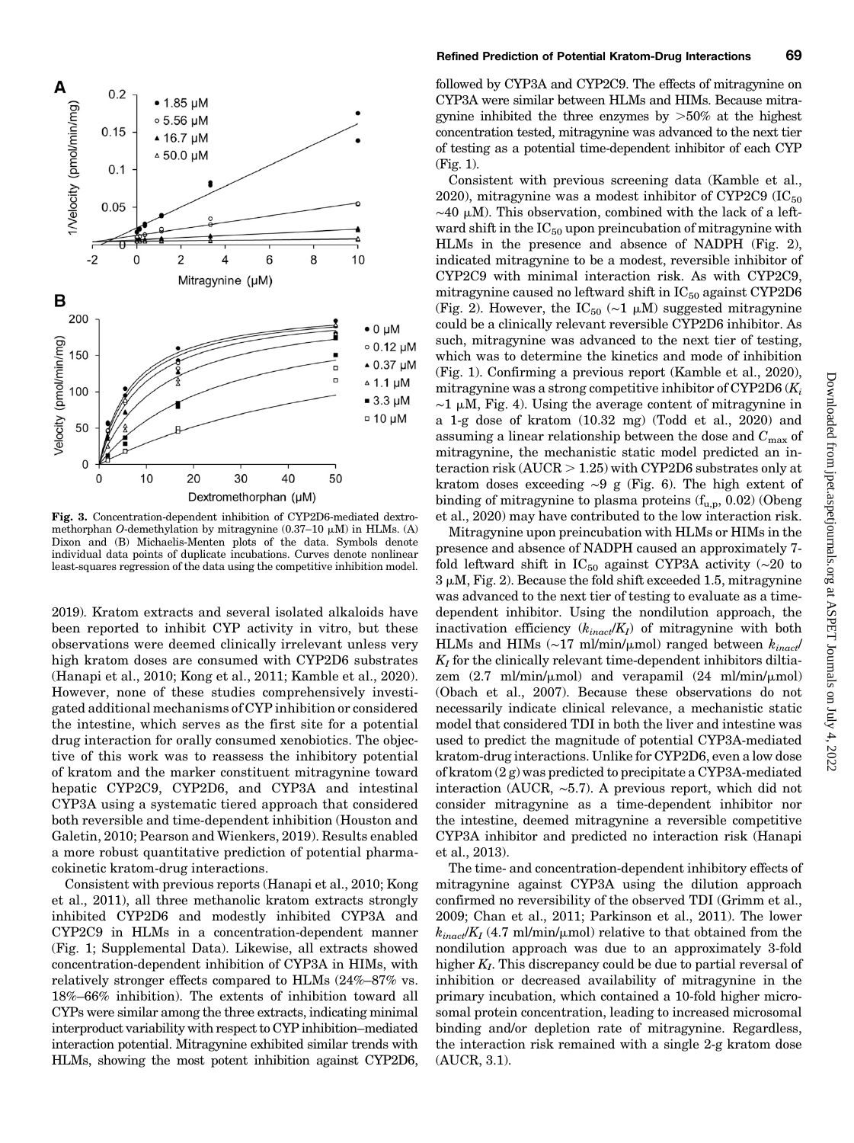

Fig. 3. Concentration-dependent inhibition of CYP2D6-mediated dextromethorphan O-demethylation by mitragynine  $(0.37-10 \mu M)$  in HLMs. (A) Dixon and (B) Michaelis-Menten plots of the data. Symbols denote individual data points of duplicate incubations. Curves denote nonlinear least-squares regression of the data using the competitive inhibition model.

2019). Kratom extracts and several isolated alkaloids have been reported to inhibit CYP activity in vitro, but these observations were deemed clinically irrelevant unless very high kratom doses are consumed with CYP2D6 substrates (Hanapi et al., 2010; Kong et al., 2011; Kamble et al., 2020). However, none of these studies comprehensively investigated additional mechanisms of CYP inhibition or considered the intestine, which serves as the first site for a potential drug interaction for orally consumed xenobiotics. The objective of this work was to reassess the inhibitory potential of kratom and the marker constituent mitragynine toward hepatic CYP2C9, CYP2D6, and CYP3A and intestinal CYP3A using a systematic tiered approach that considered both reversible and time-dependent inhibition (Houston and Galetin, 2010; Pearson and Wienkers, 2019). Results enabled a more robust quantitative prediction of potential pharmacokinetic kratom-drug interactions.

Consistent with previous reports (Hanapi et al., 2010; Kong et al., 2011), all three methanolic kratom extracts strongly inhibited CYP2D6 and modestly inhibited CYP3A and CYP2C9 in HLMs in a concentration-dependent manner (Fig. 1; [Supplemental Data\)](http://jpet.aspetjournals.org/lookup/suppl/doi:10.1124/jpet.120.000270/-/DC1). Likewise, all extracts showed concentration-dependent inhibition of CYP3A in HIMs, with relatively stronger effects compared to HLMs (24%–87% vs. 18%–66% inhibition). The extents of inhibition toward all CYPs were similar among the three extracts, indicating minimal interproduct variability with respect to CYP inhibition–mediated interaction potential. Mitragynine exhibited similar trends with HLMs, showing the most potent inhibition against CYP2D6,

followed by CYP3A and CYP2C9. The effects of mitragynine on CYP3A were similar between HLMs and HIMs. Because mitragynine inhibited the three enzymes by  $>50\%$  at the highest concentration tested, mitragynine was advanced to the next tier of testing as a potential time-dependent inhibitor of each CYP (Fig. 1).

Consistent with previous screening data (Kamble et al., 2020), mitragynine was a modest inhibitor of CYP2C9  $(IC_{50}$  $~\sim$ 40 μM). This observation, combined with the lack of a leftward shift in the  $IC_{50}$  upon preincubation of mitragynine with HLMs in the presence and absence of NADPH (Fig. 2), indicated mitragynine to be a modest, reversible inhibitor of CYP2C9 with minimal interaction risk. As with CYP2C9, mitragynine caused no leftward shift in  $IC_{50}$  against CYP2D6 (Fig. 2). However, the IC<sub>50</sub> (∼1  $\mu$ M) suggested mitragynine could be a clinically relevant reversible CYP2D6 inhibitor. As such, mitragynine was advanced to the next tier of testing, which was to determine the kinetics and mode of inhibition (Fig. 1). Confirming a previous report (Kamble et al., 2020), mitragynine was a strong competitive inhibitor of CYP2D6  $(K_i)$  $\sim$ 1 µM, Fig. 4). Using the average content of mitragynine in a 1-g dose of kratom (10.32 mg) (Todd et al., 2020) and assuming a linear relationship between the dose and  $C_{\text{max}}$  of mitragynine, the mechanistic static model predicted an interaction risk  $(AUCR > 1.25)$  with CYP2D6 substrates only at kratom doses exceeding ∼9 g (Fig. 6). The high extent of binding of mitragynine to plasma proteins  $(f_{u,p}, 0.02)$  (Obeng et al., 2020) may have contributed to the low interaction risk.

Mitragynine upon preincubation with HLMs or HIMs in the presence and absence of NADPH caused an approximately 7 fold leftward shift in  $IC_{50}$  against CYP3A activity (~20 to  $3 \mu$ M, Fig. 2). Because the fold shift exceeded 1.5, mitragynine was advanced to the next tier of testing to evaluate as a timedependent inhibitor. Using the nondilution approach, the inactivation efficiency  $(k_{inact}/K_I)$  of mitragynine with both HLMs and HIMs (~17 ml/min/µmol) ranged between  $k_{inact}$ /  $K_I$  for the clinically relevant time-dependent inhibitors diltiazem  $(2.7 \text{ ml/min/mm})$  and verapamil  $(24 \text{ ml/min/mm})$ (Obach et al., 2007). Because these observations do not necessarily indicate clinical relevance, a mechanistic static model that considered TDI in both the liver and intestine was used to predict the magnitude of potential CYP3A-mediated kratom-drug interactions. Unlike for CYP2D6, even a low dose of kratom (2 g) was predicted to precipitate a CYP3A-mediated interaction (AUCR, ∼5.7). A previous report, which did not consider mitragynine as a time-dependent inhibitor nor the intestine, deemed mitragynine a reversible competitive CYP3A inhibitor and predicted no interaction risk (Hanapi et al., 2013).

The time- and concentration-dependent inhibitory effects of mitragynine against CYP3A using the dilution approach confirmed no reversibility of the observed TDI (Grimm et al., 2009; Chan et al., 2011; Parkinson et al., 2011). The lower  $k_{inact}/K_I$  (4.7 ml/min/ $\mu$ mol) relative to that obtained from the nondilution approach was due to an approximately 3-fold higher  $K_I$ . This discrepancy could be due to partial reversal of inhibition or decreased availability of mitragynine in the primary incubation, which contained a 10-fold higher microsomal protein concentration, leading to increased microsomal binding and/or depletion rate of mitragynine. Regardless, the interaction risk remained with a single 2-g kratom dose (AUCR, 3.1).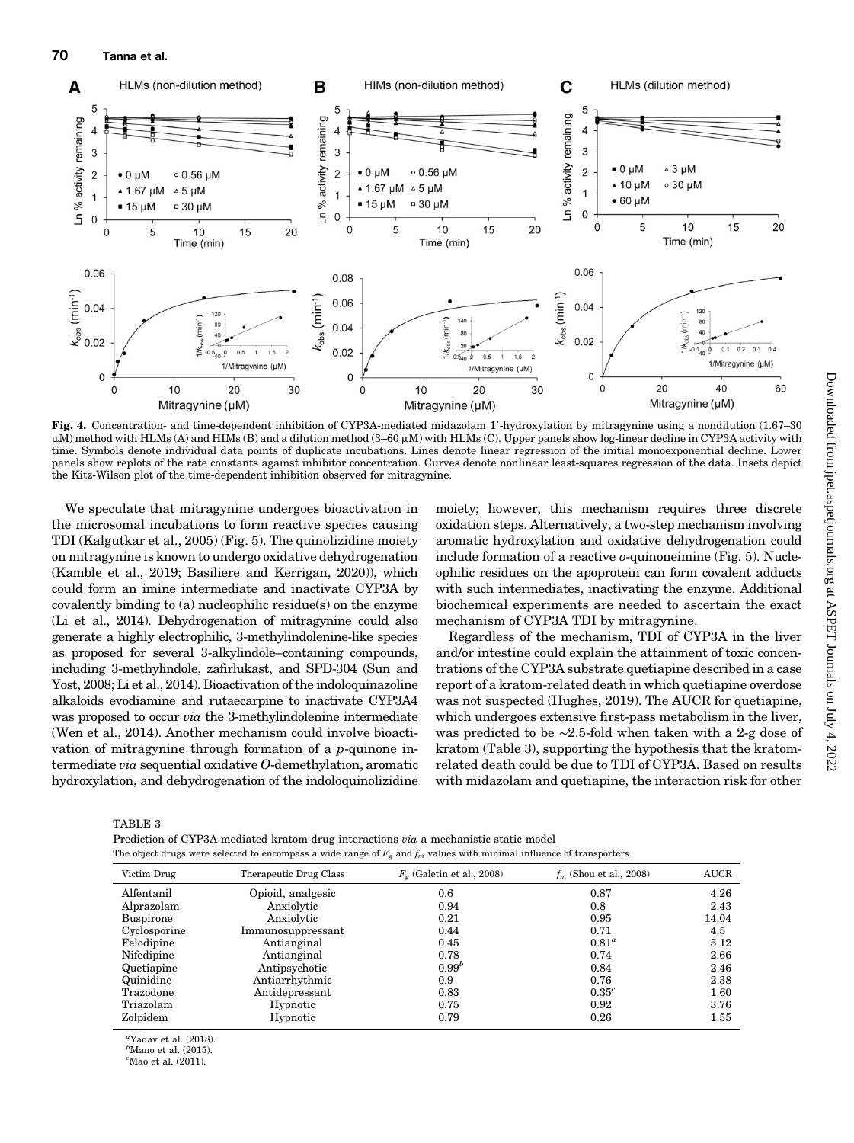

Fig. 4. Concentration- and time-dependent inhibition of CYP3A-mediated midazolam 1'-hydroxylation by mitragynine using a nondilution (1.67–30)  $\mu$ M) method with HLMs (A) and HIMs (B) and a dilution method (3–60  $\mu$ M) with HLMs (C). Upper panels show log-linear decline in CYP3A activity with time. Symbols denote individual data points of duplicate incubations. Lines denote linear regression of the initial monoexponential decline. Lower panels show replots of the rate constants against inhibitor concentration. Curves denote nonlinear least-squares regression of the data. Insets depict the Kitz-Wilson plot of the time-dependent inhibition observed for mitragynine.

We speculate that mitragynine undergoes bioactivation in the microsomal incubations to form reactive species causing TDI (Kalgutkar et al., 2005) (Fig. 5). The quinolizidine moiety on mitragynine is known to undergo oxidative dehydrogenation (Kamble et al., 2019; Basiliere and Kerrigan, 2020)), which could form an imine intermediate and inactivate CYP3A by covalently binding to (a) nucleophilic residue(s) on the enzyme (Li et al., 2014). Dehydrogenation of mitragynine could also generate a highly electrophilic, 3-methylindolenine-like species as proposed for several 3-alkylindole–containing compounds, including 3-methylindole, zafirlukast, and SPD-304 (Sun and Yost, 2008; Li et al., 2014). Bioactivation of the indoloquinazoline alkaloids evodiamine and rutaecarpine to inactivate CYP3A4 was proposed to occur *via* the 3-methylindolenine intermediate (Wen et al., 2014). Another mechanism could involve bioactivation of mitragynine through formation of a p-quinone intermediate via sequential oxidative O-demethylation, aromatic hydroxylation, and dehydrogenation of the indoloquinolizidine

moiety; however, this mechanism requires three discrete oxidation steps. Alternatively, a two-step mechanism involving aromatic hydroxylation and oxidative dehydrogenation could include formation of a reactive o-quinoneimine (Fig. 5). Nucleophilic residues on the apoprotein can form covalent adducts with such intermediates, inactivating the enzyme. Additional biochemical experiments are needed to ascertain the exact mechanism of CYP3A TDI by mitragynine.

Regardless of the mechanism, TDI of CYP3A in the liver and/or intestine could explain the attainment of toxic concentrations of the CYP3A substrate quetiapine described in a case report of a kratom-related death in which quetiapine overdose was not suspected (Hughes, 2019). The AUCR for quetiapine, which undergoes extensive first-pass metabolism in the liver, was predicted to be ∼2.5-fold when taken with a 2-g dose of kratom (Table 3), supporting the hypothesis that the kratomrelated death could be due to TDI of CYP3A. Based on results with midazolam and quetiapine, the interaction risk for other

TABLE 3

Prediction of CYP3A-mediated kratom-drug interactions via a mechanistic static model The object drugs were selected to encompass a wide range of  $F_g$  and  $f_m$  values with minimal influence of transporters.

| Victim Drug      | Therapeutic Drug Class | $F_a$ (Galetin et al., 2008) | $f_m$ (Shou et al., 2008) | <b>AUCR</b> |
|------------------|------------------------|------------------------------|---------------------------|-------------|
| Alfentanil       | Opioid, analgesic      | 0.6                          | 0.87                      | 4.26        |
| Alprazolam       | Anxiolytic             | 0.94                         | 0.8                       | 2.43        |
| <b>Buspirone</b> | Anxiolytic             | 0.21                         | 0.95                      | 14.04       |
| Cyclosporine     | Immunosuppressant      | 0.44                         | 0.71                      | 4.5         |
| Felodipine       | Antianginal            | 0.45                         | $0.81^a$                  | 5.12        |
| Nifedipine       | Antianginal            | 0.78                         | 0.74                      | 2.66        |
| Quetiapine       | Antipsychotic          | $0.99^{b}$                   | 0.84                      | 2.46        |
| Quinidine        | Antiarrhythmic         | 0.9                          | 0.76                      | 2.38        |
| Trazodone        | Antidepressant         | 0.83                         | $0.35^c$                  | 1.60        |
| Triazolam        | Hypnotic               | 0.75                         | 0.92                      | 3.76        |
| Zolpidem         | Hypnotic               | 0.79                         | 0.26                      | 1.55        |

 ${}^a$ Yadav et al. (2018).

 ${}^b$ Mano et al. (2015).

 ${}^c$ Mao et al. (2011).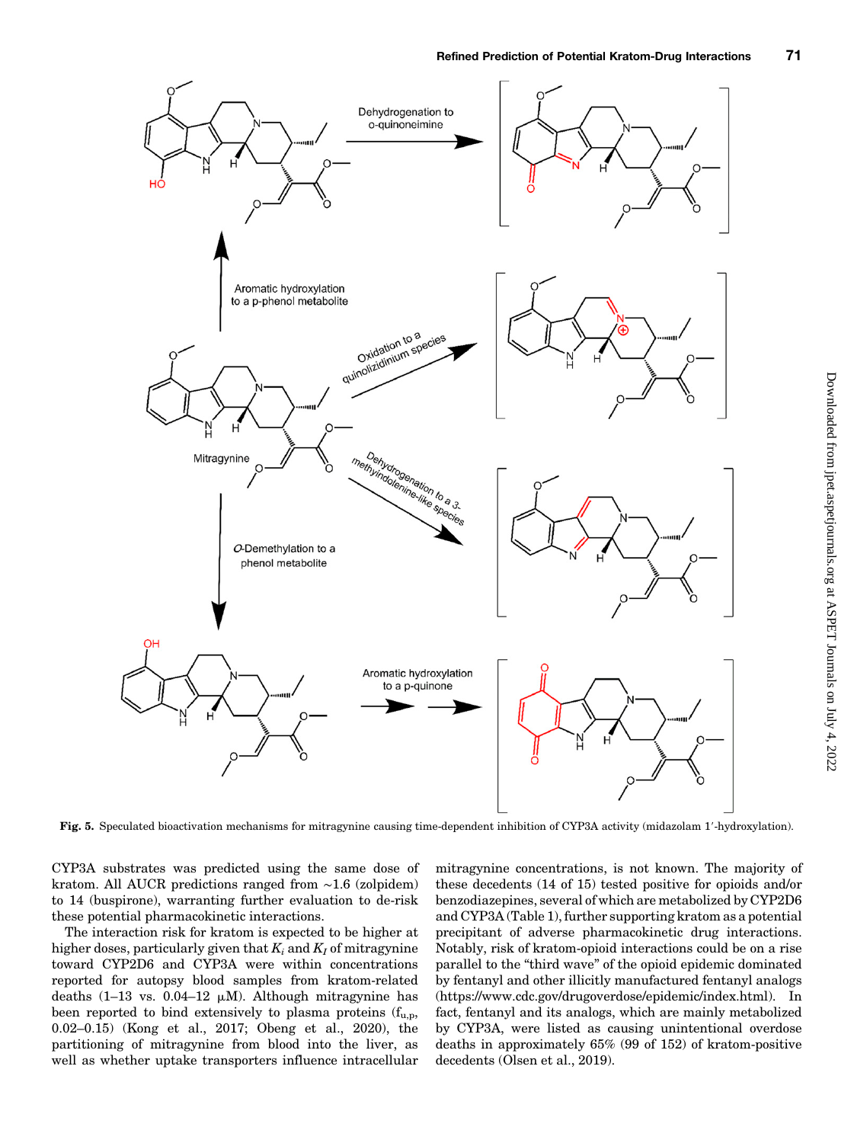

Fig. 5. Speculated bioactivation mechanisms for mitragynine causing time-dependent inhibition of CYP3A activity (midazolam 1'-hydroxylation).

CYP3A substrates was predicted using the same dose of kratom. All AUCR predictions ranged from ∼1.6 (zolpidem) to 14 (buspirone), warranting further evaluation to de-risk these potential pharmacokinetic interactions.

The interaction risk for kratom is expected to be higher at higher doses, particularly given that  $K_i$  and  $K_j$  of mitragynine toward CYP2D6 and CYP3A were within concentrations reported for autopsy blood samples from kratom-related deaths  $(1-13 \text{ vs. } 0.04-12 \mu M)$ . Although mitragynine has been reported to bind extensively to plasma proteins  $(f_{u,n},)$ 0.02–0.15) (Kong et al., 2017; Obeng et al., 2020), the partitioning of mitragynine from blood into the liver, as well as whether uptake transporters influence intracellular

mitragynine concentrations, is not known. The majority of these decedents (14 of 15) tested positive for opioids and/or benzodiazepines, several of which are metabolized by CYP2D6 and CYP3A (Table 1), further supporting kratom as a potential precipitant of adverse pharmacokinetic drug interactions. Notably, risk of kratom-opioid interactions could be on a rise parallel to the "third wave" of the opioid epidemic dominated by fentanyl and other illicitly manufactured fentanyl analogs [\(https://www.cdc.gov/drugoverdose/epidemic/index.html\)](https://www.cdc.gov/drugoverdose/epidemic/index.html). In fact, fentanyl and its analogs, which are mainly metabolized by CYP3A, were listed as causing unintentional overdose deaths in approximately 65% (99 of 152) of kratom-positive decedents (Olsen et al., 2019).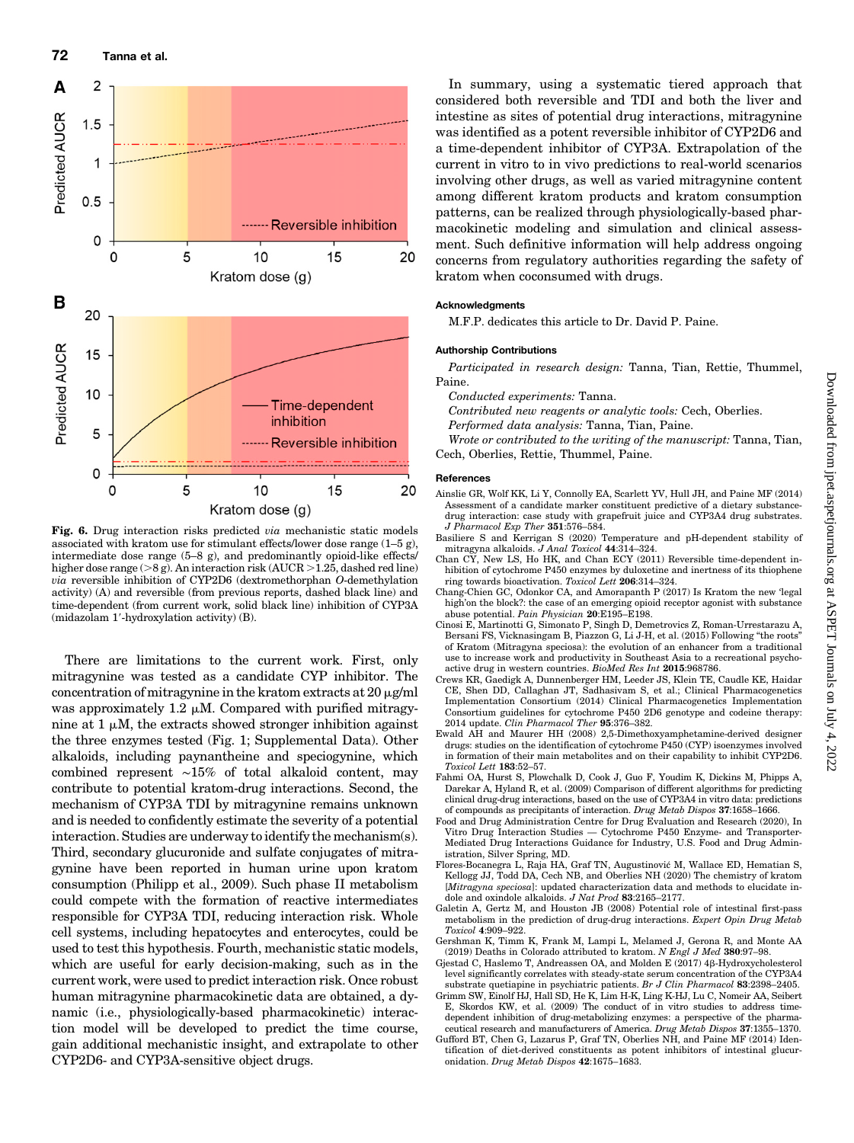

Fig. 6. Drug interaction risks predicted *via* mechanistic static models associated with kratom use for stimulant effects/lower dose range (1–5 g), intermediate dose range (5–8 g), and predominantly opioid-like effects/ higher dose range ( $>8$  g). An interaction risk (AUCR  $>1.25$ , dashed red line) via reversible inhibition of CYP2D6 (dextromethorphan O-demethylation activity) (A) and reversible (from previous reports, dashed black line) and time-dependent (from current work, solid black line) inhibition of CYP3A (midazolam 1'-hydroxylation activity) (B).

There are limitations to the current work. First, only mitragynine was tested as a candidate CYP inhibitor. The concentration of mitragynine in the kratom extracts at  $20 \mu$ g/ml was approximately 1.2  $\mu$ M. Compared with purified mitragynine at  $1 \mu$ M, the extracts showed stronger inhibition against the three enzymes tested (Fig. 1; [Supplemental Data](http://jpet.aspetjournals.org/lookup/suppl/doi:10.1124/jpet.120.000270/-/DC1)). Other alkaloids, including paynantheine and speciogynine, which combined represent ∼15% of total alkaloid content, may contribute to potential kratom-drug interactions. Second, the mechanism of CYP3A TDI by mitragynine remains unknown and is needed to confidently estimate the severity of a potential interaction. Studies are underway to identify the mechanism(s). Third, secondary glucuronide and sulfate conjugates of mitragynine have been reported in human urine upon kratom consumption (Philipp et al., 2009). Such phase II metabolism could compete with the formation of reactive intermediates responsible for CYP3A TDI, reducing interaction risk. Whole cell systems, including hepatocytes and enterocytes, could be used to test this hypothesis. Fourth, mechanistic static models, which are useful for early decision-making, such as in the current work, were used to predict interaction risk. Once robust human mitragynine pharmacokinetic data are obtained, a dynamic (i.e., physiologically-based pharmacokinetic) interaction model will be developed to predict the time course, gain additional mechanistic insight, and extrapolate to other CYP2D6- and CYP3A-sensitive object drugs.

In summary, using a systematic tiered approach that considered both reversible and TDI and both the liver and intestine as sites of potential drug interactions, mitragynine was identified as a potent reversible inhibitor of CYP2D6 and a time-dependent inhibitor of CYP3A. Extrapolation of the current in vitro to in vivo predictions to real-world scenarios involving other drugs, as well as varied mitragynine content among different kratom products and kratom consumption patterns, can be realized through physiologically-based pharmacokinetic modeling and simulation and clinical assessment. Such definitive information will help address ongoing concerns from regulatory authorities regarding the safety of kratom when coconsumed with drugs.

#### Acknowledgments

M.F.P. dedicates this article to Dr. David P. Paine.

#### Authorship Contributions

Participated in research design: Tanna, Tian, Rettie, Thummel, Paine.

Conducted experiments: Tanna.

Contributed new reagents or analytic tools: Cech, Oberlies. Performed data analysis: Tanna, Tian, Paine.

Wrote or contributed to the writing of the manuscript: Tanna, Tian, Cech, Oberlies, Rettie, Thummel, Paine.

#### **References**

- Ainslie GR, Wolf KK, Li Y, Connolly EA, Scarlett YV, Hull JH, and Paine MF (2014) Assessment of a candidate marker constituent predictive of a dietary substancedrug interaction: case study with grapefruit juice and CYP3A4 drug substrates. J Pharmacol Exp Ther 351:576–584.
- Basiliere S and Kerrigan S (2020) Temperature and pH-dependent stability of mitragyna alkaloids. J Anal Toxicol 44:314–324.
- Chan CY, New LS, Ho HK, and Chan ECY (2011) Reversible time-dependent inhibition of cytochrome P450 enzymes by duloxetine and inertness of its thiophene ring towards bioactivation. Toxicol Lett 206:314–324.
- Chang-Chien GC, Odonkor CA, and Amorapanth P (2017) Is Kratom the new 'legal high'on the block?: the case of an emerging opioid receptor agonist with substance<br>abuse potential. *Pain Physician* **20**:E195–E198.
- Cinosi E, Martinotti G, Simonato P, Singh D, Demetrovics Z, Roman-Urrestarazu A, Bersani FS, Vicknasingam B, Piazzon G, Li J-H, et al. (2015) Following "the roots" of Kratom (Mitragyna speciosa): the evolution of an enhancer from a traditional use to increase work and productivity in Southeast Asia to a recreational psychoactive drug in western countries. BioMed Res Int 2015:968786.
- Crews KR, Gaedigk A, Dunnenberger HM, Leeder JS, Klein TE, Caudle KE, Haidar CE, Shen DD, Callaghan JT, Sadhasivam S, et al.; Clinical Pharmacogenetics Implementation Consortium (2014) Clinical Pharmacogenetics Implementation Consortium guidelines for cytochrome P450 2D6 genotype and codeine therapy: 2014 update. Clin Pharmacol Ther 95:376–382.
- Ewald AH and Maurer HH (2008) 2,5-Dimethoxyamphetamine-derived designer drugs: studies on the identification of cytochrome P450 (CYP) isoenzymes involved in formation of their main metabolites and on their capability to inhibit CYP2D6. Toxicol Lett 183:52–57.
- Fahmi OA, Hurst S, Plowchalk D, Cook J, Guo F, Youdim K, Dickins M, Phipps A, Darekar A, Hyland R, et al. (2009) Comparison of different algorithms for predicting clinical drug-drug interactions, based on the use of CYP3A4 in vitro data: predictions of compounds as precipitants of interaction. Drug Metab Dispos 37:1658–1666.
- Food and Drug Administration Centre for Drug Evaluation and Research (2020), In Vitro Drug Interaction Studies — Cytochrome P450 Enzyme- and Transporter-Mediated Drug Interactions Guidance for Industry, U.S. Food and Drug Administration, Silver Spring, MD.
- Flores-Bocanegra L, Raja HA, Graf TN, Augustinovic M, Wallace ED, Hematian S, Kellogg JJ, Todd DA, Cech NB, and Oberlies NH (2020) The chemistry of kratom [Mitragyna speciosa]: updated characterization data and methods to elucidate indole and oxindole alkaloids. J Nat Prod 83:2165–2177.
- Galetin A, Gertz M, and Houston JB (2008) Potential role of intestinal first-pass metabolism in the prediction of drug-drug interactions. Expert Opin Drug Metab Toxicol 4:909–922.
- Gershman K, Timm K, Frank M, Lampi L, Melamed J, Gerona R, and Monte AA (2019) Deaths in Colorado attributed to kratom. N Engl J Med 380:97–98.
- Gjestad C, Haslemo T, Andreassen OA, and Molden E (2017) 4b-Hydroxycholesterol level significantly correlates with steady-state serum concentration of the CYP3A4 substrate quetiapine in psychiatric patients. Br J Clin Pharmacol 83:2398–2405.
- Grimm SW, Einolf HJ, Hall SD, He K, Lim H-K, Ling K-HJ, Lu C, Nomeir AA, Seibert E, Skordos KW, et al. (2009) The conduct of in vitro studies to address timedependent inhibition of drug-metabolizing enzymes: a perspective of the pharma-
- ceutical research and manufacturers of America. Drug Metab Dispos 37:1355–1370.<br>Gufford BT, Chen G, Lazarus P, Graf TN, Oberlies NH, and Paine MF (2014) Identification of diet-derived constituents as potent inhibitors of intestinal glucuronidation. Drug Metab Dispos 42:1675–1683.